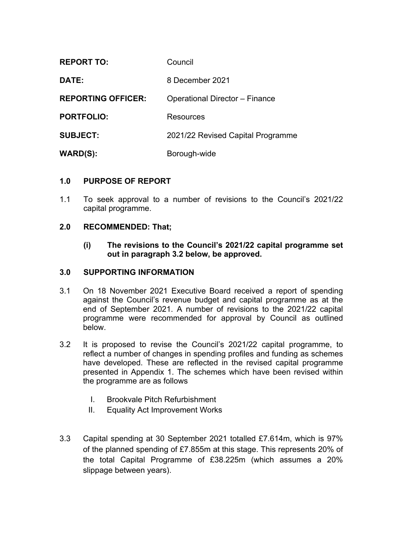| <b>REPORT TO:</b>         | Council                               |
|---------------------------|---------------------------------------|
| DATE:                     | 8 December 2021                       |
| <b>REPORTING OFFICER:</b> | <b>Operational Director - Finance</b> |
| <b>PORTFOLIO:</b>         | Resources                             |
| <b>SUBJECT:</b>           | 2021/22 Revised Capital Programme     |
| <b>WARD(S):</b>           | Borough-wide                          |

#### **1.0 PURPOSE OF REPORT**

1.1 To seek approval to a number of revisions to the Council's 2021/22 capital programme.

#### **2.0 RECOMMENDED: That;**

**(i) The revisions to the Council's 2021/22 capital programme set out in paragraph 3.2 below, be approved.**

#### **3.0 SUPPORTING INFORMATION**

- 3.1 On 18 November 2021 Executive Board received a report of spending against the Council's revenue budget and capital programme as at the end of September 2021. A number of revisions to the 2021/22 capital programme were recommended for approval by Council as outlined below.
- 3.2 It is proposed to revise the Council's 2021/22 capital programme, to reflect a number of changes in spending profiles and funding as schemes have developed. These are reflected in the revised capital programme presented in Appendix 1. The schemes which have been revised within the programme are as follows
	- I. Brookvale Pitch Refurbishment
	- II. Equality Act Improvement Works
- 3.3 Capital spending at 30 September 2021 totalled £7.614m, which is 97% of the planned spending of £7.855m at this stage. This represents 20% of the total Capital Programme of £38.225m (which assumes a 20% slippage between years).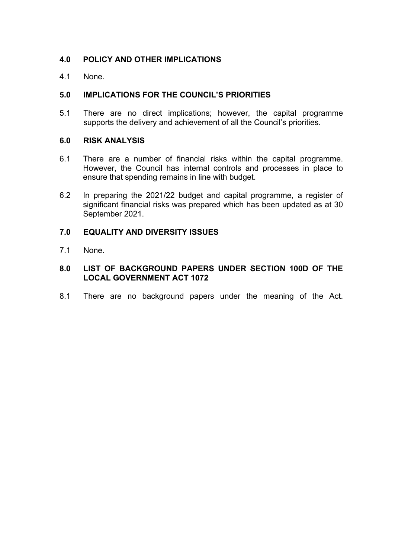### **4.0 POLICY AND OTHER IMPLICATIONS**

4.1 None.

### **5.0 IMPLICATIONS FOR THE COUNCIL'S PRIORITIES**

5.1 There are no direct implications; however, the capital programme supports the delivery and achievement of all the Council's priorities.

#### **6.0 RISK ANALYSIS**

- 6.1 There are a number of financial risks within the capital programme. However, the Council has internal controls and processes in place to ensure that spending remains in line with budget.
- 6.2 In preparing the 2021/22 budget and capital programme, a register of significant financial risks was prepared which has been updated as at 30 September 2021.

#### **7.0 EQUALITY AND DIVERSITY ISSUES**

7.1 None.

### **8.0 LIST OF BACKGROUND PAPERS UNDER SECTION 100D OF THE LOCAL GOVERNMENT ACT 1072**

8.1 There are no background papers under the meaning of the Act.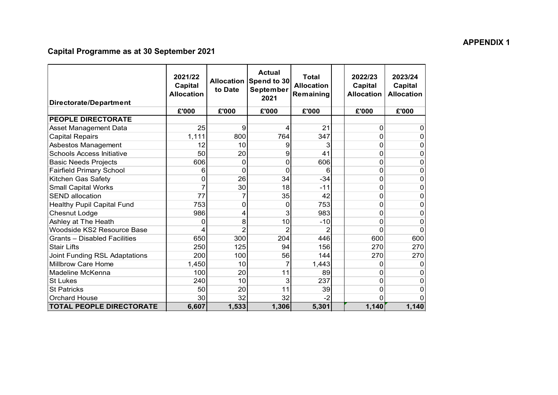# **Capital Programme as at 30 September 2021**

| Directorate/Department               | 2021/22<br>Capital<br><b>Allocation</b> | to Date  | <b>Actual</b><br>Allocation Spend to 30<br>September<br>2021 | <b>Total</b><br><b>Allocation</b><br>Remaining | 2022/23<br>Capital<br><b>Allocation</b> | 2023/24<br>Capital<br><b>Allocation</b> |
|--------------------------------------|-----------------------------------------|----------|--------------------------------------------------------------|------------------------------------------------|-----------------------------------------|-----------------------------------------|
|                                      | £'000                                   | £'000    | £'000                                                        | £'000                                          | £'000                                   | £'000                                   |
| <b>PEOPLE DIRECTORATE</b>            |                                         |          |                                                              |                                                |                                         |                                         |
| Asset Management Data                | 25                                      | 9        | 4                                                            | 21                                             | 0                                       | 0                                       |
| <b>Capital Repairs</b>               | 1,111                                   | 800      | 764                                                          | 347                                            | 0                                       | 0                                       |
| Asbestos Management                  | 12                                      | 10       | 9                                                            | 3                                              | 0                                       | 0                                       |
| <b>Schools Access Initiative</b>     | 50                                      | 20       | 9                                                            | 41                                             | 0                                       | 0                                       |
| <b>Basic Needs Projects</b>          | 606                                     | 0        | $\Omega$                                                     | 606                                            | 0                                       | 0                                       |
| <b>Fairfield Primary School</b>      | 6                                       | $\Omega$ | $\Omega$                                                     | 6                                              | 0                                       | 0                                       |
| Kitchen Gas Safety                   | 0                                       | 26       | 34                                                           | $-34$                                          | 0                                       | 0                                       |
| <b>Small Capital Works</b>           |                                         | 30       | 18                                                           | $-11$                                          | 0                                       | 0                                       |
| <b>SEND allocation</b>               | 77                                      | 7        | 35                                                           | 42                                             | 0                                       | 0                                       |
| <b>Healthy Pupil Capital Fund</b>    | 753                                     | $\Omega$ | $\Omega$                                                     | 753                                            | 0                                       | 0                                       |
| Chesnut Lodge                        | 986                                     | 4        | 3                                                            | 983                                            | 0                                       | 0                                       |
| Ashley at The Heath                  | 0                                       | 8        | 10                                                           | $-10$                                          | 0                                       | 0                                       |
| Woodside KS2 Resource Base           | 4                                       | 2        | 2                                                            | 2                                              | $\Omega$                                | $\mathbf 0$                             |
| <b>Grants - Disabled Facilities</b>  | 650                                     | 300      | 204                                                          | 446                                            | 600                                     | 600                                     |
| <b>Stair Lifts</b>                   | 250                                     | 125      | 94                                                           | 156                                            | 270                                     | 270                                     |
| <b>Joint Funding RSL Adaptations</b> | 200                                     | 100      | 56                                                           | 144                                            | 270                                     | 270                                     |
| Millbrow Care Home                   | 1,450                                   | 10       | 7                                                            | 1,443                                          | 0                                       | 0                                       |
| Madeline McKenna                     | 100                                     | 20       | 11                                                           | 89                                             | 0                                       | $\overline{0}$                          |
| <b>St Lukes</b>                      | 240                                     | 10       | 3                                                            | 237                                            | 0                                       | 0                                       |
| <b>St Patricks</b>                   | 50                                      | 20       | 11                                                           | 39                                             | 0                                       | 0                                       |
| <b>Orchard House</b>                 | 30                                      | 32       | 32                                                           | $-2$                                           | $\Omega$                                | 0                                       |
| <b>TOTAL PEOPLE DIRECTORATE</b>      | 6,607                                   | 1,533    | 1,306                                                        | 5,301                                          | 1,140                                   | 1,140                                   |

#### **APPENDIX 1**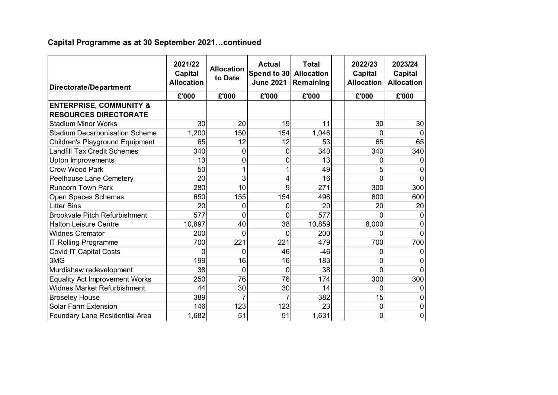## **Capital Programme as at 30 September 2021…continued**

| Directorate/Department                                             | 2021/22<br>Capital<br><b>Allocation</b> | <b>Allocation</b><br>to Date | <b>Actual</b><br>Spend to 30<br><b>June 2021</b> | <b>Total</b><br><b>Allocation</b><br>Remaining | 2022/23<br>Capital<br><b>Allocation</b> | 2023/24<br>Capital<br><b>Allocation</b> |
|--------------------------------------------------------------------|-----------------------------------------|------------------------------|--------------------------------------------------|------------------------------------------------|-----------------------------------------|-----------------------------------------|
|                                                                    | £'000                                   | £'000                        | £'000                                            | £'000                                          | £'000                                   | £'000                                   |
| <b>ENTERPRISE, COMMUNITY &amp;</b><br><b>RESOURCES DIRECTORATE</b> |                                         |                              |                                                  |                                                |                                         |                                         |
| <b>Stadium Minor Works</b>                                         | 30                                      | 20                           | 19                                               | 11                                             | 30                                      | 30                                      |
| <b>Stadium Decarbonisation Scheme</b>                              | 1,200                                   | 150                          | 154                                              | 1,046                                          | 0                                       |                                         |
| Children's Playground Equipment                                    | 65                                      | 12                           | 12                                               | 53                                             | 65                                      | 65                                      |
| <b>Landfill Tax Credit Schemes</b>                                 | 340                                     | 0                            | $\Omega$                                         | 340                                            | 340                                     | 340                                     |
| <b>Upton Improvements</b>                                          | 13                                      | 0                            | 0                                                | 13                                             | 0                                       | 0                                       |
| <b>Crow Wood Park</b>                                              | 50                                      |                              |                                                  | 49                                             | 5                                       | O                                       |
| <b>Peelhouse Lane Cemetery</b>                                     | 20                                      | 3                            | 4                                                | 16                                             | 0                                       | $\Omega$                                |
| <b>Runcorn Town Park</b>                                           | 280                                     | 10                           | 9                                                | 271                                            | 300                                     | 300                                     |
| Open Spaces Schemes                                                | 650                                     | 155                          | 154                                              | 496                                            | 600                                     | 600                                     |
| <b>Litter Bins</b>                                                 | 20                                      | 0                            | 0                                                | 20                                             | 20                                      | 20                                      |
| <b>Brookvale Pitch Refurbishment</b>                               | 577                                     | 0                            | 0                                                | 577                                            |                                         |                                         |
| <b>Halton Leisure Centre</b>                                       | 10,897                                  | 40                           | 38                                               | 10,859                                         | 8,000                                   | 0                                       |
| <b>Widnes Cremator</b>                                             | 200                                     | 0                            | 0                                                | 200                                            | ∩                                       | 0                                       |
| <b>IT Rolling Programme</b>                                        | 700                                     | 221                          | 221                                              | 479                                            | 700                                     | 700                                     |
| <b>Covid IT Capital Costs</b>                                      | $\Omega$                                | 0                            | 46                                               | $-46$                                          | ∩                                       |                                         |
| 3MG                                                                | 199                                     | 16                           | 16                                               | 183                                            | 0                                       | 0                                       |
| Murdishaw redevelopment                                            | 38                                      | 0                            | $\Omega$                                         | 38                                             | 0                                       | 0                                       |
| <b>Equality Act Improvement Works</b>                              | 250                                     | 76                           | 76                                               | 174                                            | 300                                     | 300                                     |
| <b>Widnes Market Refurbishment</b>                                 | 44                                      | 30                           | 30                                               | 14                                             | 0                                       |                                         |
| <b>Broseley House</b>                                              | 389                                     |                              |                                                  | 382                                            | 15                                      | 0                                       |
| <b>Solar Farm Extension</b>                                        | 146                                     | 123                          | 123                                              | 23                                             | 0                                       | 0                                       |
| Foundary Lane Residential Area                                     | 1,682                                   | 51                           | 51                                               | 1,631                                          | 0                                       | 0                                       |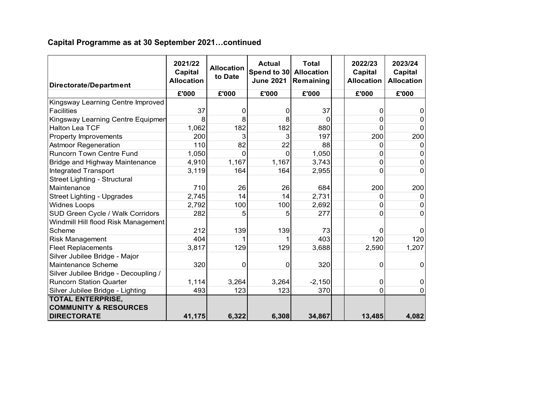## **Capital Programme as at 30 September 2021…continued**

| Directorate/Department               | 2021/22<br>Capital<br><b>Allocation</b> | <b>Allocation</b><br>to Date | <b>Actual</b><br>Spend to 30<br><b>June 2021</b> | <b>Total</b><br><b>Allocation</b><br>Remaining | 2022/23<br>Capital<br><b>Allocation</b> | 2023/24<br>Capital<br><b>Allocation</b> |
|--------------------------------------|-----------------------------------------|------------------------------|--------------------------------------------------|------------------------------------------------|-----------------------------------------|-----------------------------------------|
|                                      | £'000                                   | £'000                        | £'000                                            | £'000                                          | £'000                                   | £'000                                   |
| Kingsway Learning Centre Improved    |                                         |                              |                                                  |                                                |                                         |                                         |
| Facilities                           | 37                                      | 0                            | 0                                                | 37                                             | 0                                       | 0                                       |
| Kingsway Learning Centre Equipmen    |                                         | 8                            | 8                                                | $\Omega$                                       | $\Omega$                                | 0                                       |
| <b>Halton Lea TCF</b>                | 1,062                                   | 182                          | 182                                              | 880                                            | $\Omega$                                | $\Omega$                                |
| <b>Property Improvements</b>         | 200                                     | 3                            | 3                                                | 197                                            | 200                                     | 200                                     |
| <b>Astmoor Regeneration</b>          | 110                                     | 82                           | 22                                               | 88                                             | $\Omega$                                | 0                                       |
| <b>Runcorn Town Centre Fund</b>      | 1,050                                   | $\Omega$                     | $\Omega$                                         | 1,050                                          | 0                                       | 0                                       |
| Bridge and Highway Maintenance       | 4,910                                   | 1,167                        | 1,167                                            | 3,743                                          | $\mathbf 0$                             | $\Omega$                                |
| <b>Integrated Transport</b>          | 3,119                                   | 164                          | 164                                              | 2,955                                          | $\Omega$                                | $\Omega$                                |
| Street Lighting - Structural         |                                         |                              |                                                  |                                                |                                         |                                         |
| Maintenance                          | 710                                     | 26                           | 26                                               | 684                                            | 200                                     | 200                                     |
| Street Lighting - Upgrades           | 2,745                                   | 14                           | 14                                               | 2,731                                          | 0                                       | 0                                       |
| <b>Widnes Loops</b>                  | 2,792                                   | 100                          | 100                                              | 2,692                                          | $\mathbf 0$                             | 0                                       |
| SUD Green Cycle / Walk Corridors     | 282                                     | 5                            | 5                                                | 277                                            | $\mathbf{0}$                            | $\Omega$                                |
| Windmill Hill flood Risk Management  |                                         |                              |                                                  |                                                |                                         |                                         |
| Scheme                               | 212                                     | 139                          | 139                                              | 73                                             | $\Omega$                                |                                         |
| <b>Risk Management</b>               | 404                                     |                              |                                                  | 403                                            | 120                                     | 120                                     |
| <b>Fleet Replacements</b>            | 3,817                                   | 129                          | 129                                              | 3,688                                          | 2,590                                   | 1,207                                   |
| Silver Jubilee Bridge - Major        |                                         |                              |                                                  |                                                |                                         |                                         |
| Maintenance Scheme                   | 320                                     | 0                            | 0                                                | 320                                            | 0                                       | 0                                       |
| Silver Jubilee Bridge - Decoupling / |                                         |                              |                                                  |                                                |                                         |                                         |
| <b>Runcorn Station Quarter</b>       | 1,114                                   | 3,264                        | 3,264                                            | $-2,150$                                       | 0                                       | 0                                       |
| Silver Jubilee Bridge - Lighting     | 493                                     | 123                          | 123                                              | 370                                            | $\overline{0}$                          | $\Omega$                                |
| <b>TOTAL ENTERPRISE,</b>             |                                         |                              |                                                  |                                                |                                         |                                         |
| <b>COMMUNITY &amp; RESOURCES</b>     |                                         |                              |                                                  |                                                |                                         |                                         |
| <b>DIRECTORATE</b>                   | 41,175                                  | 6,322                        | 6,308                                            | 34,867                                         | 13,485                                  | 4,082                                   |